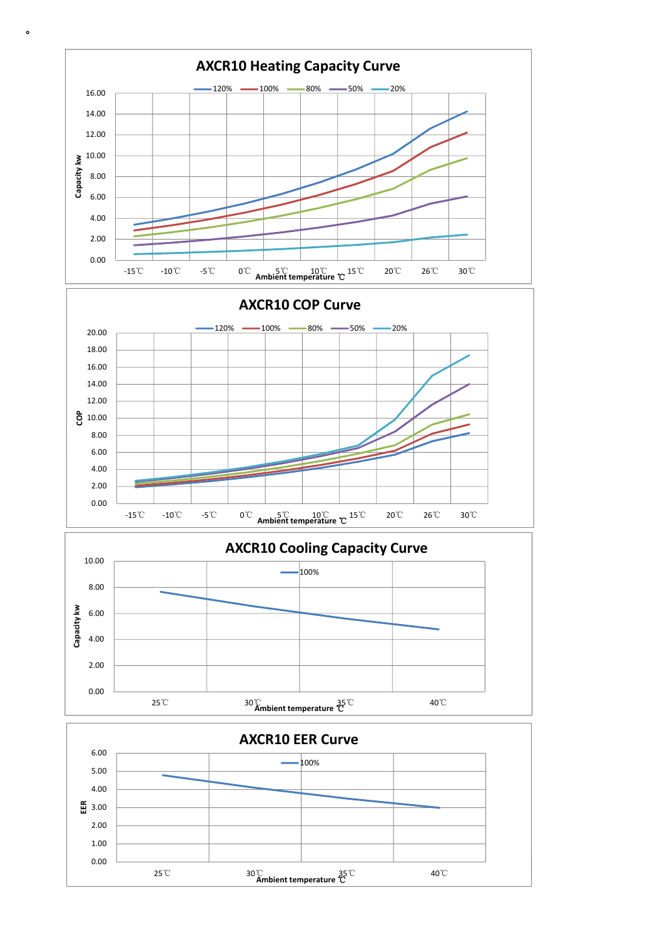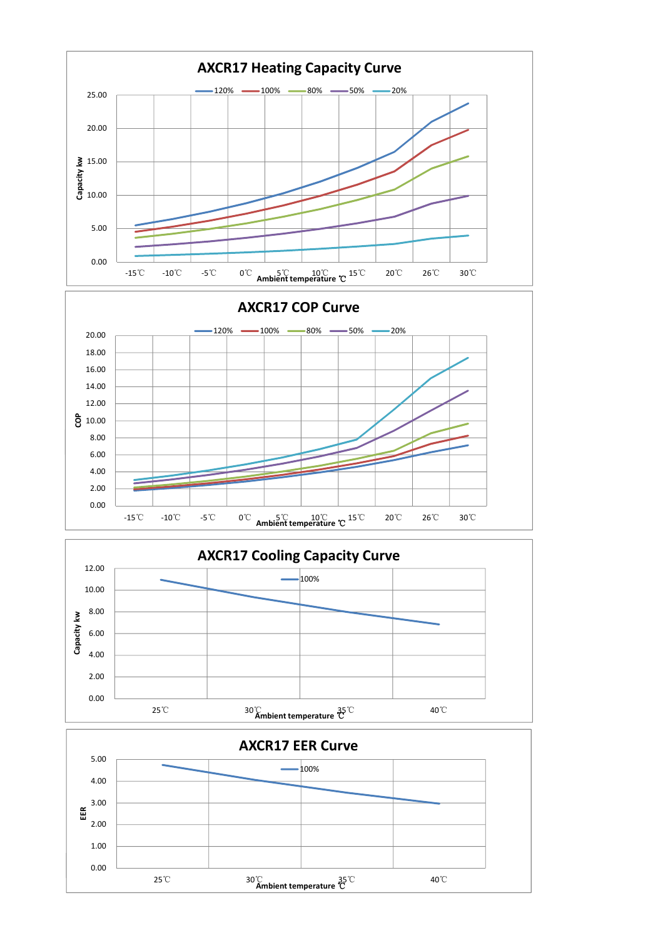



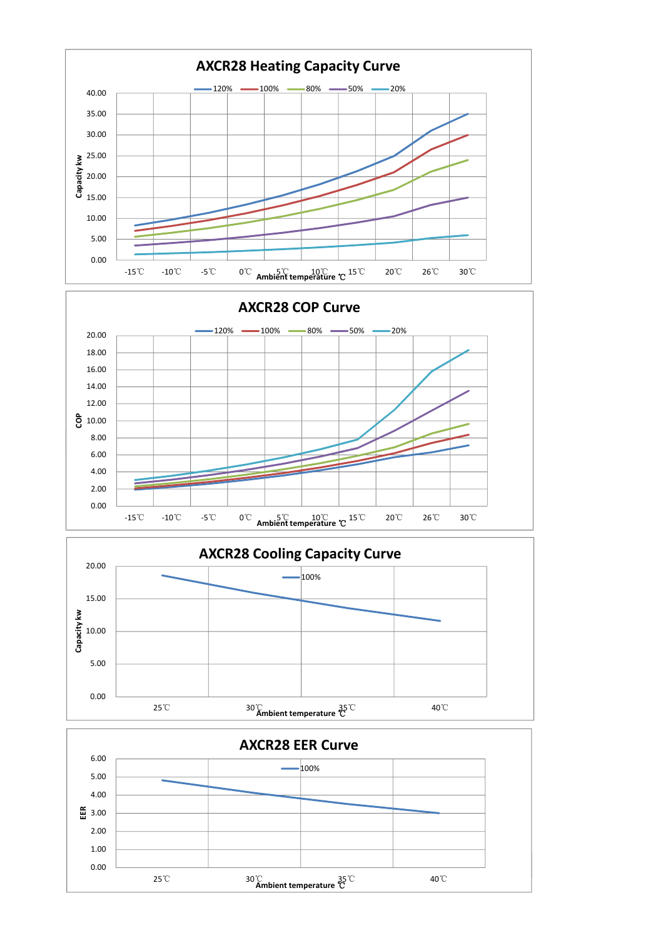



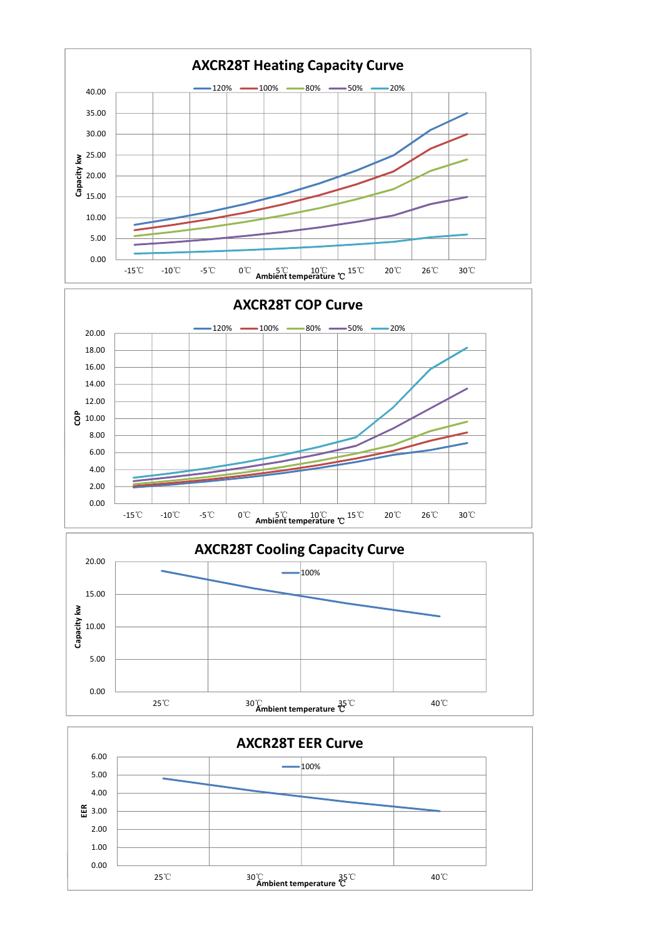